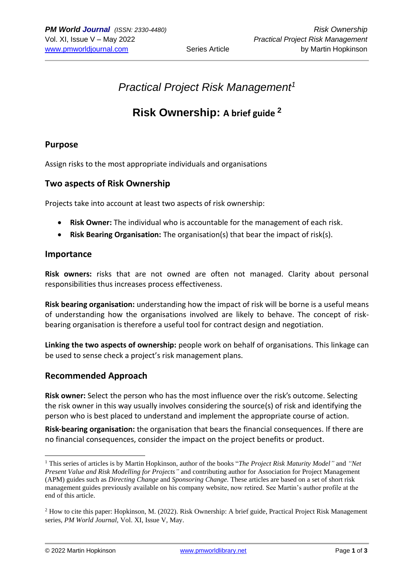# *Practical Project Risk Management<sup>1</sup>*

## **Risk Ownership: A brief guide <sup>2</sup>**

#### **Purpose**

Assign risks to the most appropriate individuals and organisations

#### **Two aspects of Risk Ownership**

Projects take into account at least two aspects of risk ownership:

- **Risk Owner:** The individual who is accountable for the management of each risk.
- **Risk Bearing Organisation:** The organisation(s) that bear the impact of risk(s).

#### **Importance**

**Risk owners:** risks that are not owned are often not managed. Clarity about personal responsibilities thus increases process effectiveness.

**Risk bearing organisation:** understanding how the impact of risk will be borne is a useful means of understanding how the organisations involved are likely to behave. The concept of riskbearing organisation is therefore a useful tool for contract design and negotiation.

**Linking the two aspects of ownership:** people work on behalf of organisations. This linkage can be used to sense check a project's risk management plans.

#### **Recommended Approach**

**Risk owner:** Select the person who has the most influence over the risk's outcome. Selecting the risk owner in this way usually involves considering the source(s) of risk and identifying the person who is best placed to understand and implement the appropriate course of action.

**Risk-bearing organisation:** the organisation that bears the financial consequences. If there are no financial consequences, consider the impact on the project benefits or product.

<sup>1</sup> This series of articles is by Martin Hopkinson, author of the books "*The Project Risk Maturity Model"* and *"Net Present Value and Risk Modelling for Projects"* and contributing author for Association for Project Management (APM) guides such as *Directing Change* and *Sponsoring Change.* These articles are based on a set of short risk management guides previously available on his company website, now retired. See Martin's author profile at the end of this article.

<sup>2</sup> How to cite this paper: Hopkinson, M. (2022). Risk Ownership: A brief guide, Practical Project Risk Management series, *PM World Journal,* Vol. XI, Issue V, May.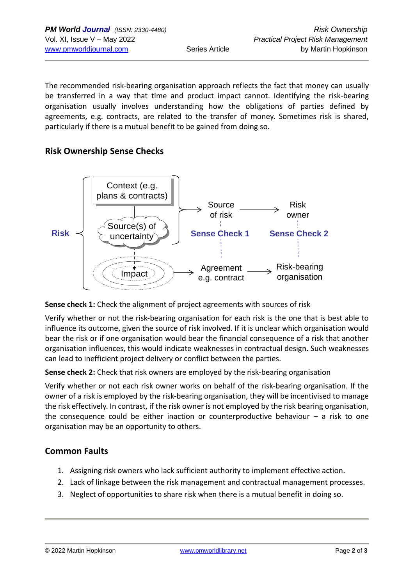The recommended risk-bearing organisation approach reflects the fact that money can usually be transferred in a way that time and product impact cannot. Identifying the risk-bearing organisation usually involves understanding how the obligations of parties defined by agreements, e.g. contracts, are related to the transfer of money. Sometimes risk is shared, particularly if there is a mutual benefit to be gained from doing so.

#### **Risk Ownership Sense Checks**



#### **Sense check 1:** Check the alignment of project agreements with sources of risk

Verify whether or not the risk-bearing organisation for each risk is the one that is best able to influence its outcome, given the source of risk involved. If it is unclear which organisation would bear the risk or if one organisation would bear the financial consequence of a risk that another organisation influences, this would indicate weaknesses in contractual design. Such weaknesses can lead to inefficient project delivery or conflict between the parties.

**Sense check 2:** Check that risk owners are employed by the risk-bearing organisation

Verify whether or not each risk owner works on behalf of the risk-bearing organisation. If the owner of a risk is employed by the risk-bearing organisation, they will be incentivised to manage the risk effectively. In contrast, if the risk owner is not employed by the risk bearing organisation, the consequence could be either inaction or counterproductive behaviour  $-$  a risk to one organisation may be an opportunity to others.

### **Common Faults**

- 1. Assigning risk owners who lack sufficient authority to implement effective action.
- 2. Lack of linkage between the risk management and contractual management processes.
- 3. Neglect of opportunities to share risk when there is a mutual benefit in doing so.